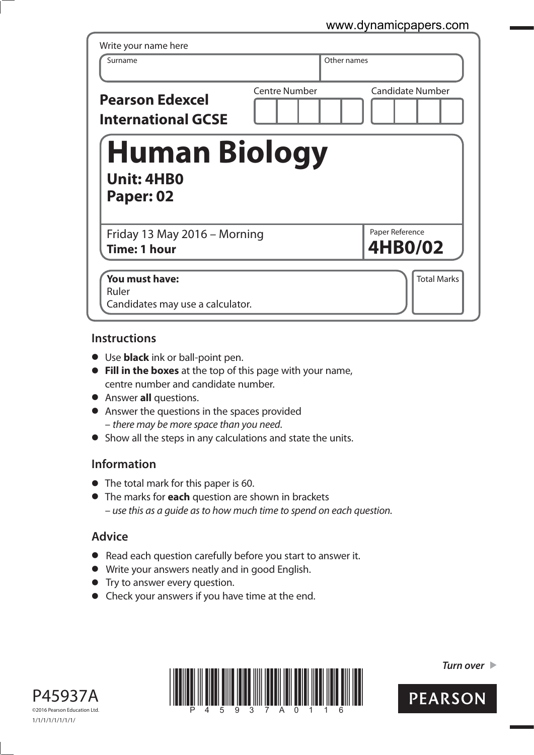| Write your name here                                   |                      |                                   |
|--------------------------------------------------------|----------------------|-----------------------------------|
| Surname                                                |                      | Other names                       |
| <b>Pearson Edexcel</b><br><b>International GCSE</b>    | <b>Centre Number</b> | <b>Candidate Number</b>           |
| <b>Human Biology</b><br><b>Unit: 4HB0</b><br>Paper: 02 |                      |                                   |
| Friday 13 May 2016 - Morning<br>Time: 1 hour           |                      | Paper Reference<br><b>4HB0/02</b> |
|                                                        |                      |                                   |

#### **Instructions**

- **•** Use **black** ink or ball-point pen.
- **• Fill in the boxes** at the top of this page with your name, centre number and candidate number.
- **•** Answer **all** questions.
- **•** Answer the questions in the spaces provided – there may be more space than you need.
- **•** Show all the steps in any calculations and state the units.

### **Information**

- **•** The total mark for this paper is 60.
- **•** The marks for **each** question are shown in brackets – use this as a guide as to how much time to spend on each question.

### **Advice**

- **•** Read each question carefully before you start to answer it.
- Read each question carefully before you start t<br>• Write your answers neatly and in good English. • Write your answers neatly and in good English.<br>• Try to answer every question.
- 
- **•** Check your answers if you have time at the end.





*Turn over* 

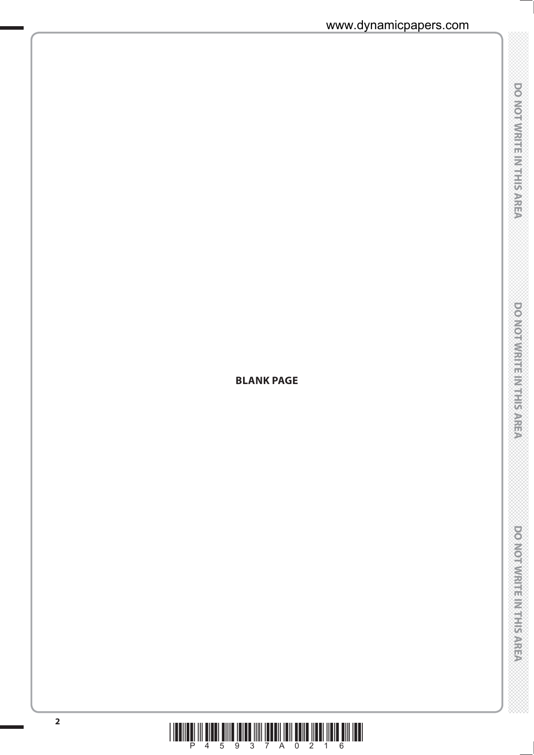

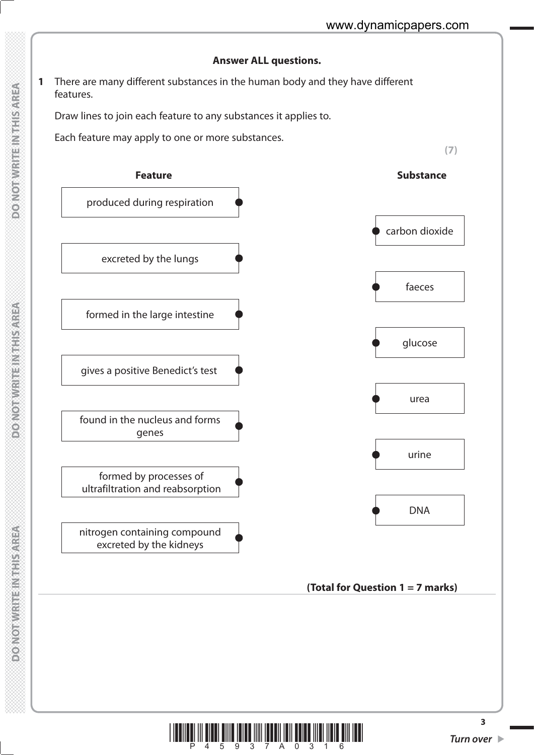**(7)**



**1** There are many different substances in the human body and they have different features.

Draw lines to join each feature to any substances it applies to.

Each feature may apply to one or more substances.

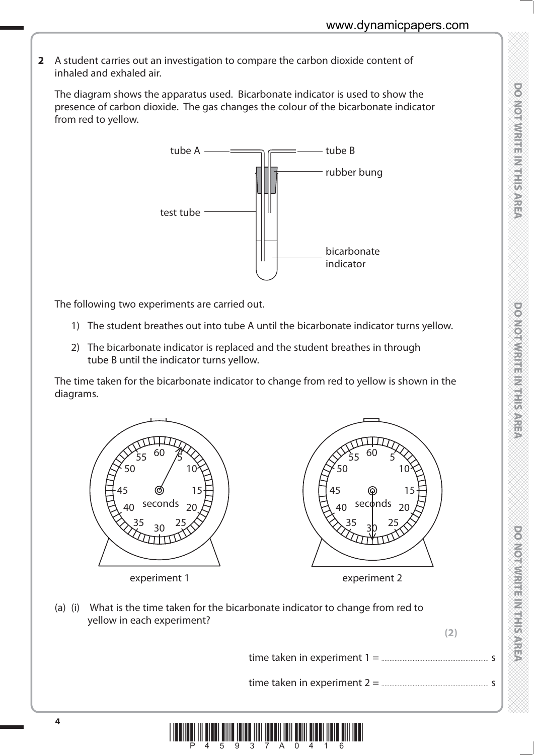**2** A student carries out an investigation to compare the carbon dioxide content of inhaled and exhaled air.

 The diagram shows the apparatus used. Bicarbonate indicator is used to show the presence of carbon dioxide. The gas changes the colour of the bicarbonate indicator from red to yellow.



The following two experiments are carried out.

- 1) The student breathes out into tube A until the bicarbonate indicator turns yellow.
- 2) The bicarbonate indicator is replaced and the student breathes in through tube B until the indicator turns yellow.

 The time taken for the bicarbonate indicator to change from red to yellow is shown in the diagrams.



**PONORMENT PRINTS**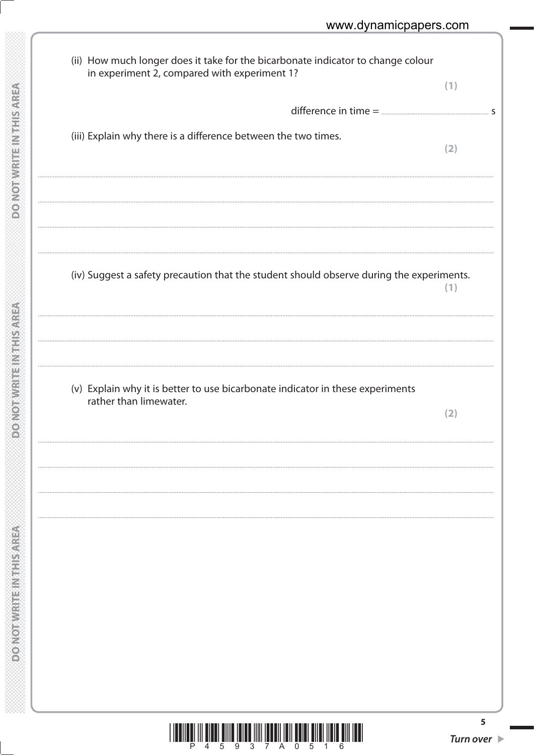| (ii) How much longer does it take for the bicarbonate indicator to change colour<br>in experiment 2, compared with experiment 1? | (1) |
|----------------------------------------------------------------------------------------------------------------------------------|-----|
|                                                                                                                                  |     |
| (iii) Explain why there is a difference between the two times.                                                                   | (2) |
| (iv) Suggest a safety precaution that the student should observe during the experiments.                                         | (1) |
| (v) Explain why it is better to use bicarbonate indicator in these experiments<br>rather than limewater.                         | (2) |
|                                                                                                                                  |     |

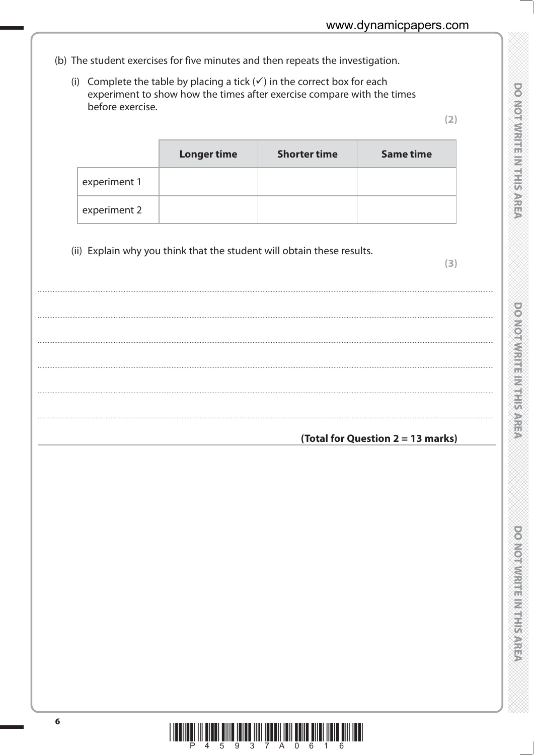- (b) The student exercises for five minutes and then repeats the investigation.
	- (i) Complete the table by placing a tick  $(\checkmark)$  in the correct box for each experiment to show how the times after exercise compare with the times before exercise.

 $(2)$ 

DO NOT WRITE IN THIS AREA

**DOMONTO HE HE SARRY** 

DO NOTWRITE MITHIS AREA

|              | <b>Longer time</b> | <b>Shorter time</b> | <b>Same time</b> |
|--------------|--------------------|---------------------|------------------|
| experiment 1 |                    |                     |                  |
| experiment 2 |                    |                     |                  |

(ii) Explain why you think that the student will obtain these results.

 $(3)$ 

### (Total for Question 2 = 13 marks)

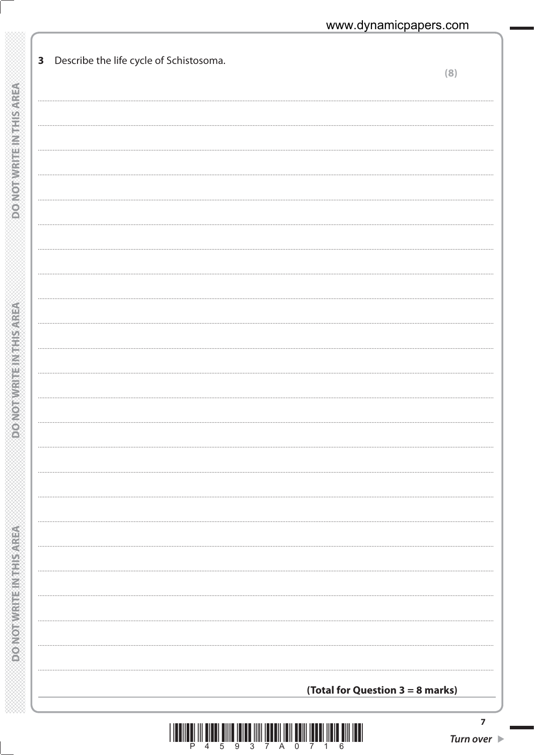| $\mathbf{3}$ | Describe the life cycle of Schistosoma. |                                  | (8) |
|--------------|-----------------------------------------|----------------------------------|-----|
|              |                                         |                                  |     |
|              |                                         |                                  |     |
|              |                                         |                                  |     |
|              |                                         |                                  |     |
|              |                                         |                                  |     |
|              |                                         |                                  |     |
|              |                                         |                                  |     |
|              |                                         |                                  |     |
|              |                                         |                                  |     |
|              |                                         |                                  |     |
|              |                                         |                                  |     |
|              |                                         |                                  |     |
|              |                                         |                                  |     |
|              |                                         |                                  |     |
|              |                                         |                                  |     |
|              |                                         |                                  |     |
|              |                                         |                                  |     |
|              |                                         |                                  |     |
|              |                                         |                                  |     |
|              |                                         |                                  |     |
|              |                                         |                                  |     |
|              |                                         |                                  |     |
|              |                                         |                                  |     |
|              |                                         |                                  |     |
|              |                                         |                                  |     |
|              |                                         |                                  |     |
|              |                                         |                                  |     |
|              |                                         |                                  |     |
|              |                                         |                                  |     |
|              |                                         |                                  |     |
|              |                                         | (Total for Question 3 = 8 marks) |     |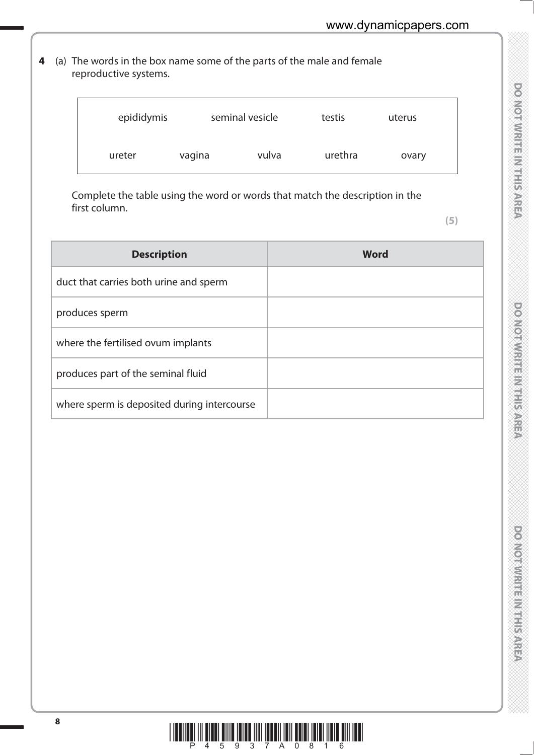**4** (a) The words in the box name some of the parts of the male and female reproductive systems.

| epididymis |        | seminal vesicle | testis  | uterus |  |
|------------|--------|-----------------|---------|--------|--|
| ureter     | vagina | vulva           | urethra | ovary  |  |

 Complete the table using the word or words that match the description in the first column.

**(5)**

| <b>Description</b>                          | <b>Word</b> |
|---------------------------------------------|-------------|
| duct that carries both urine and sperm      |             |
| produces sperm                              |             |
| where the fertilised ovum implants          |             |
| produces part of the seminal fluid          |             |
| where sperm is deposited during intercourse |             |

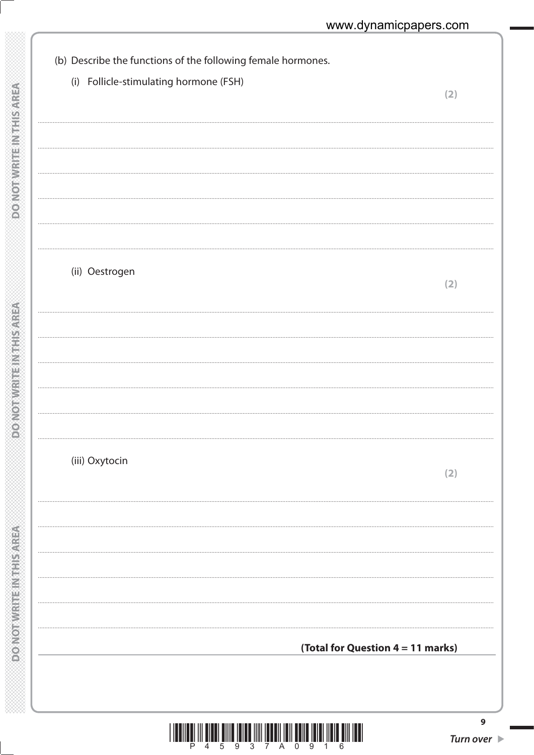| (i) Follicle-stimulating hormone (FSH) |                                   |
|----------------------------------------|-----------------------------------|
|                                        | (2)                               |
|                                        |                                   |
|                                        |                                   |
|                                        |                                   |
|                                        |                                   |
|                                        |                                   |
|                                        |                                   |
|                                        |                                   |
| (ii) Oestrogen                         |                                   |
|                                        | (2)                               |
|                                        |                                   |
|                                        |                                   |
|                                        |                                   |
|                                        |                                   |
|                                        |                                   |
|                                        |                                   |
|                                        |                                   |
| (iii) Oxytocin                         | (2)                               |
|                                        |                                   |
|                                        |                                   |
|                                        |                                   |
|                                        |                                   |
|                                        |                                   |
|                                        |                                   |
|                                        |                                   |
|                                        | (Total for Question 4 = 11 marks) |
|                                        |                                   |
|                                        |                                   |

**DO NOT WRITE IN THIS AREA** 

**PONOTWRITEINTHIS AREA** 

DO NOT WRITE IN THIS AREA

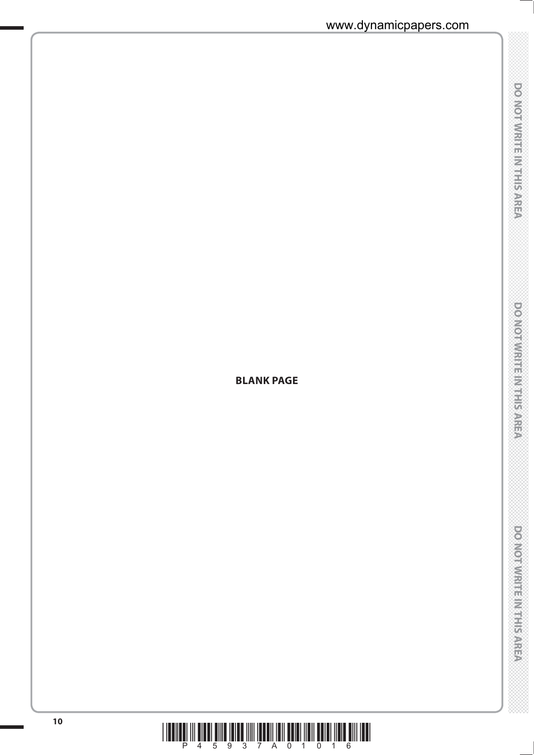

**BLANK PAGE**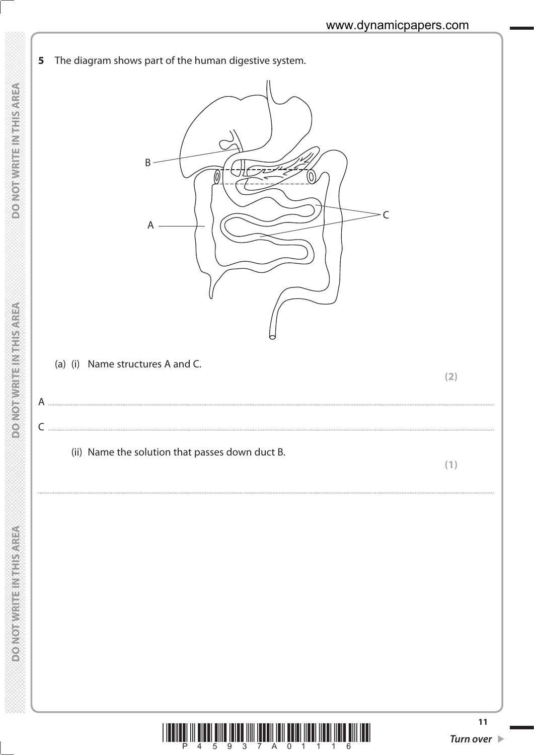



 $11$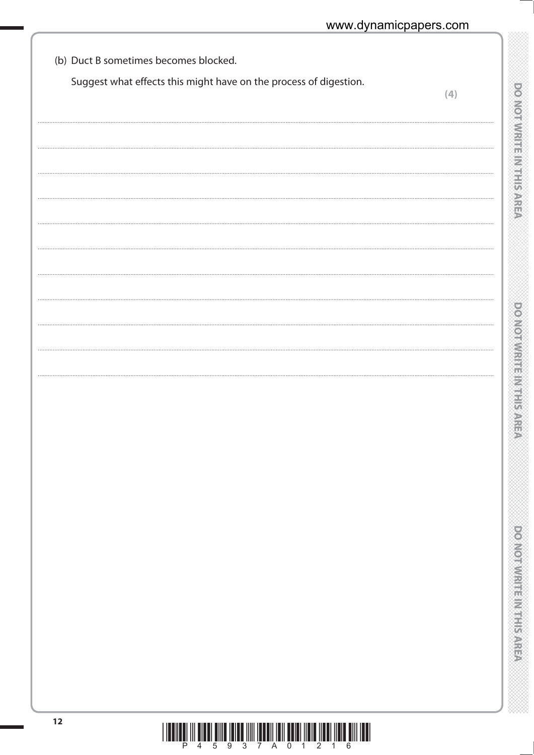| (b) Duct B sometimes becomes blocked.<br>Suggest what effects this might have on the process of digestion. |     |                                      |
|------------------------------------------------------------------------------------------------------------|-----|--------------------------------------|
|                                                                                                            | (4) | <b>DOMORATION IN THE SARED</b>       |
|                                                                                                            |     |                                      |
|                                                                                                            |     |                                      |
|                                                                                                            |     |                                      |
|                                                                                                            |     |                                      |
|                                                                                                            |     |                                      |
|                                                                                                            |     |                                      |
|                                                                                                            |     |                                      |
|                                                                                                            |     |                                      |
|                                                                                                            |     |                                      |
|                                                                                                            |     |                                      |
|                                                                                                            |     |                                      |
|                                                                                                            |     |                                      |
|                                                                                                            |     | <b>DOMOVIDAD IN STRAIGHT</b>         |
|                                                                                                            |     |                                      |
|                                                                                                            |     |                                      |
|                                                                                                            |     |                                      |
|                                                                                                            |     |                                      |
|                                                                                                            |     |                                      |
|                                                                                                            |     | <b>POSTORIAL PROPERTY AND STREET</b> |
|                                                                                                            |     |                                      |
|                                                                                                            |     |                                      |
|                                                                                                            |     |                                      |
|                                                                                                            |     |                                      |
|                                                                                                            |     |                                      |
|                                                                                                            |     |                                      |
|                                                                                                            |     |                                      |
| 12<br><u> 1 IU DIIU DII DI DIU DII DII IU IU IU IU IU DOMI IU II DOMI II DI II IU II II DOMI DII IUDI.</u> |     |                                      |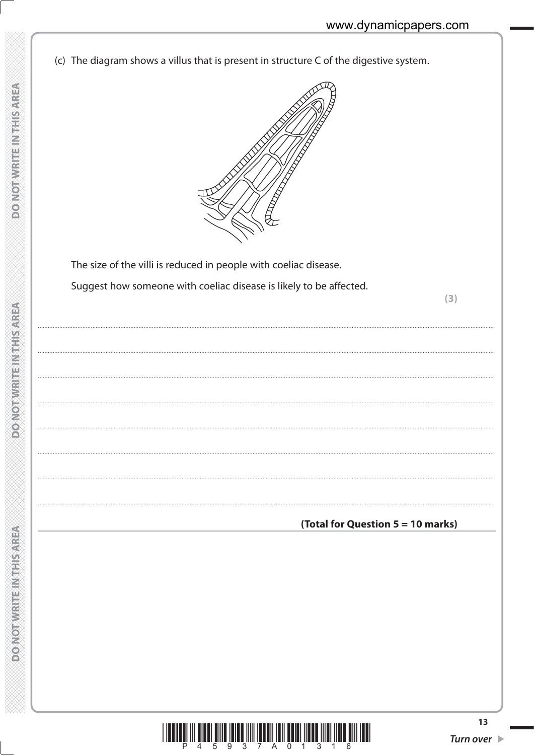(c) The diagram shows a villus that is present in structure C of the digestive system.



The size of the villi is reduced in people with coeliac disease.

Suggest how someone with coeliac disease is likely to be affected.

 $(3)$ 

## (Total for Question 5 = 10 marks)

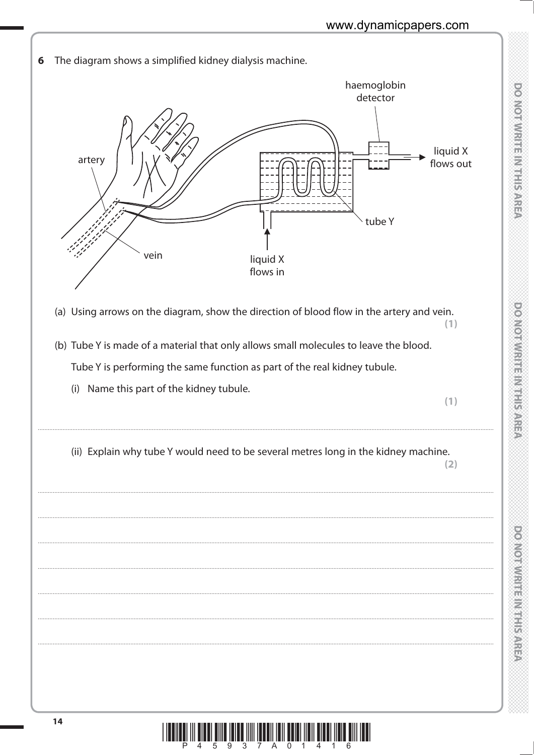**DO NOTWRITE IN THIS AREA** 

**DOMORWICHEN FRAMED** 

**DOOMORAL HEADERS** 

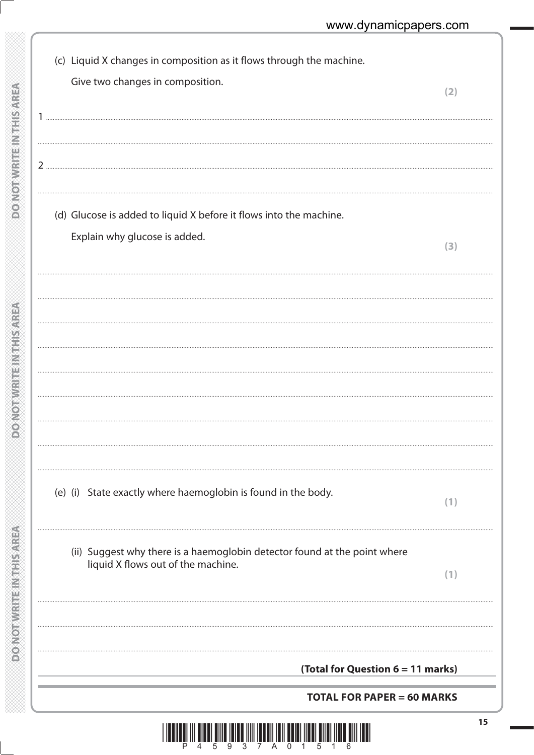| <b>TOTAL FOR PAPER = 60 MARKS</b>                                                                               |     |
|-----------------------------------------------------------------------------------------------------------------|-----|
| (Total for Question 6 = 11 marks)                                                                               |     |
|                                                                                                                 |     |
| (ii) Suggest why there is a haemoglobin detector found at the point where<br>liquid X flows out of the machine. | (1) |
| (e) (i) State exactly where haemoglobin is found in the body.                                                   | (1) |
|                                                                                                                 |     |
|                                                                                                                 |     |
|                                                                                                                 |     |
| Explain why glucose is added.                                                                                   | (3) |
| (d) Glucose is added to liquid X before it flows into the machine.                                              |     |
| $2$                                                                                                             |     |
|                                                                                                                 | (2) |
| (c) Liquid X changes in composition as it flows through the machine.<br>Give two changes in composition.        |     |